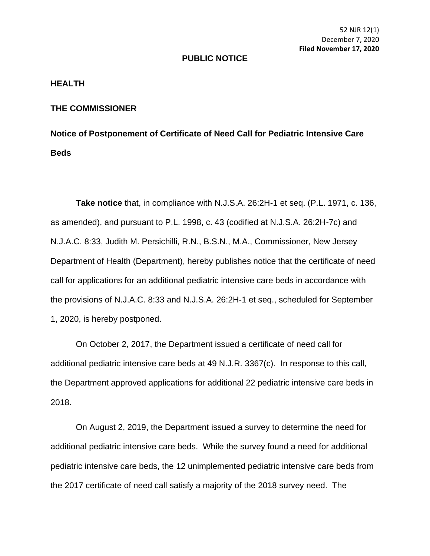52 NJR 12(1) December 7, 2020 **Filed November 17, 2020**

## **PUBLIC NOTICE**

## **HEALTH**

## **THE COMMISSIONER**

**Notice of Postponement of Certificate of Need Call for Pediatric Intensive Care Beds** 

**Take notice** that, in compliance with N.J.S.A. 26:2H-1 et seq. (P.L. 1971, c. 136, as amended), and pursuant to P.L. 1998, c. 43 (codified at N.J.S.A. 26:2H-7c) and N.J.A.C. 8:33, Judith M. Persichilli, R.N., B.S.N., M.A., Commissioner, New Jersey Department of Health (Department), hereby publishes notice that the certificate of need call for applications for an additional pediatric intensive care beds in accordance with the provisions of N.J.A.C. 8:33 and N.J.S.A. 26:2H-1 et seq., scheduled for September 1, 2020, is hereby postponed.

On October 2, 2017, the Department issued a certificate of need call for additional pediatric intensive care beds at 49 N.J.R. 3367(c). In response to this call, the Department approved applications for additional 22 pediatric intensive care beds in 2018.

On August 2, 2019, the Department issued a survey to determine the need for additional pediatric intensive care beds. While the survey found a need for additional pediatric intensive care beds, the 12 unimplemented pediatric intensive care beds from the 2017 certificate of need call satisfy a majority of the 2018 survey need. The